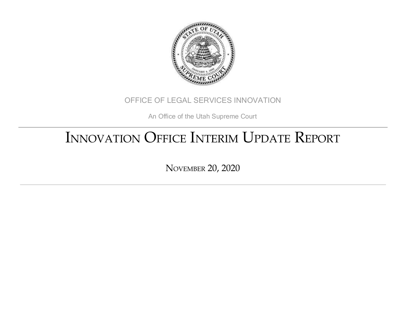

#### OFFICE OF LEGAL SERVICES INNOVATION

An Office of the Utah Supreme Court

# INNOVATION OFFICE INTERIM UPDATE REPORT

NOVEMBER 20, 2020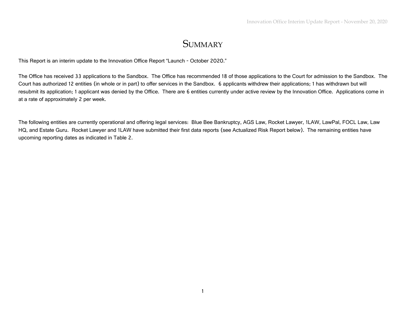#### **SUMMARY**

This Report is an interim update to the Innovation Office Report "Launch - October 2020."

The Office has received 33 applications to the Sandbox. The Office has recommended 18 of those applications to the Court for admission to the Sandbox. The Court has authorized 12 entities (in whole or in part) to offer services in the Sandbox. 6 applicants withdrew their applications; 1 has withdrawn but will resubmit its application; 1 applicant was denied by the Office. There are 6 entities currently under active review by the Innovation Office. Applications come in at a rate of approximately 2 per week.

The following entities are currently operational and offering legal services: Blue Bee Bankruptcy, AGS Law, Rocket Lawyer, 1LAW, LawPal, FOCL Law, Law HQ, and Estate Guru. Rocket Lawyer and 1LAW have submitted their first data reports (see Actualized Risk Report below). The remaining entities have upcoming reporting dates as indicated in Table 2.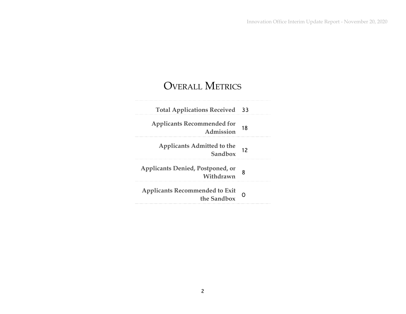### OVERALL METRICS

| <b>Total Applications Received 33</b>                |    |
|------------------------------------------------------|----|
| <b>Applicants Recommended for</b><br>Admission       | 18 |
| Applicants Admitted to the<br>Sandbox                | 12 |
| Applicants Denied, Postponed, or<br>Withdrawn        |    |
| <b>Applicants Recommended to Exit</b><br>the Sandbox |    |
|                                                      |    |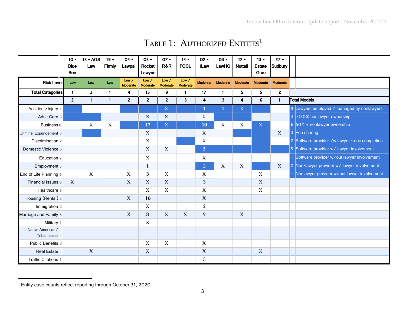|                                          | $10 -$<br><b>Blue</b><br><b>Bee</b> | 15 - AGS<br>Law | $19 -$<br>Firmly | $04 -$<br>Lawpal         | $05 -$<br>Rocket<br>Lawyer | $OZ -$<br>R&R     | $14 -$<br><b>FOCL</b>   | $02 -$<br>1Law | $03 -$<br>LawHQ         | $12 -$<br><b>Nuttall</b> | $13 -$<br><b>Estate</b><br>Guru | $27 -$<br>Sudbury |                                                |
|------------------------------------------|-------------------------------------|-----------------|------------------|--------------------------|----------------------------|-------------------|-------------------------|----------------|-------------------------|--------------------------|---------------------------------|-------------------|------------------------------------------------|
| <b>Risk Level</b>                        | Low                                 | Low             | Low              | Low /<br><b>Moderate</b> | Low /<br>Moderate          | Low /<br>Moderate | Low /<br>Moderate       | Moderate       | Moderate                | Moderate                 | Moderate                        | Moderate          |                                                |
| <b>Total Categories</b>                  | $\mathbf{1}$                        | $\mathbf{3}$    | $\mathbf{1}$     | $\overline{4}$           | 15                         | 9                 | $\mathbf{1}$            | 17             | $\mathbf{1}$            | 5                        | 5                               | $\overline{2}$    |                                                |
|                                          | 2 <sup>1</sup>                      | $\mathbf{1}$    | $\mathbf{1}$     | $\overline{2}$           | $\overline{2}$             | $2^{\circ}$       | $\overline{\mathbf{3}}$ | $\overline{4}$ | $\overline{\mathbf{3}}$ | $\overline{4}$           | 6                               | $\mathbf{1}$      | <b>Total Models</b>                            |
| Accident/Injury 4                        |                                     |                 |                  |                          |                            | $\overline{X}$    |                         | $\overline{1}$ | $\mathbf X$             | $\mathbf X$              |                                 |                   | 9 Lawyers employed / managed by nonlawyers     |
| Adult Care 3                             |                                     |                 |                  |                          | X                          | X                 |                         | X              |                         |                          |                                 |                   | <50% nonlawyer ownership                       |
| Business <sup>8</sup>                    |                                     | X               | X                |                          | 17                         | $\mathbf X$       |                         | 10             | X                       | X                        | X                               |                   | 6 $50\%$ + nonlawyer ownership                 |
| Criminal Expungement 3                   |                                     |                 |                  |                          | X                          |                   |                         | X              |                         |                          |                                 | X                 | 3 Fee sharing                                  |
| Discrimination 2                         |                                     |                 |                  |                          | X                          |                   |                         | $\mathbf X$    |                         |                          |                                 |                   | 2 Software provider /w lawyer - doc completion |
| Domestic Violence <sup>3</sup>           |                                     |                 |                  |                          | X                          | X                 |                         | $\overline{2}$ |                         |                          |                                 |                   | 5 Software provider w/ lawyer involvement      |
| Education $2$                            |                                     |                 |                  |                          | X                          |                   |                         | X              |                         |                          |                                 |                   | Software provider w/out lawyer involvement     |
| Employment <sub>5</sub>                  |                                     |                 |                  |                          | $\mathbf{1}$               |                   |                         | $\overline{2}$ | X                       | X                        |                                 | X                 | 2 Non-lawyer provider w/ lawyer involvement    |
| End of Life Planning $6$                 |                                     | $\mathbf X$     |                  | X                        | 3                          | X                 |                         | X              |                         |                          | $\mathbf X$                     |                   | Nonlawyer provider w/out lawyer involvement    |
| Financial Issues 6                       | X                                   |                 |                  | X                        | X                          | X                 |                         | 3              |                         |                          | X                               |                   |                                                |
| Healthcare $4$                           |                                     |                 |                  |                          | X                          | X                 |                         | X              |                         |                          | $\mathbf X$                     |                   |                                                |
| Housing (Rental) 3                       |                                     |                 |                  | $\boldsymbol{X}$         | 16                         |                   |                         | X              |                         |                          |                                 |                   |                                                |
| Immigration $2$                          |                                     |                 |                  |                          | X                          |                   |                         | 2              |                         |                          |                                 |                   |                                                |
| Marriage and Family 6                    |                                     |                 |                  | X                        | 3                          | X                 | X                       | 9              |                         | X                        |                                 |                   |                                                |
| Military 1                               |                                     |                 |                  |                          | X                          |                   |                         |                |                         |                          |                                 |                   |                                                |
| Native American/<br><b>Tribal Issues</b> |                                     |                 |                  |                          |                            |                   |                         |                |                         |                          |                                 |                   |                                                |
| Public Benefits 3                        |                                     |                 |                  |                          | X                          | X                 |                         | X              |                         |                          |                                 |                   |                                                |
| Real Estate 4                            |                                     | X               |                  |                          | $\mathbf X$                |                   |                         | X              |                         |                          | X                               |                   |                                                |
| Traffic Citations 1                      |                                     |                 |                  |                          |                            |                   |                         | 3              |                         |                          |                                 |                   |                                                |

#### Table 1: Authorized  $\mathrm{ENTITIES}^1$

<sup>1</sup> Entity case counts reflect reporting through October 31, 2020.